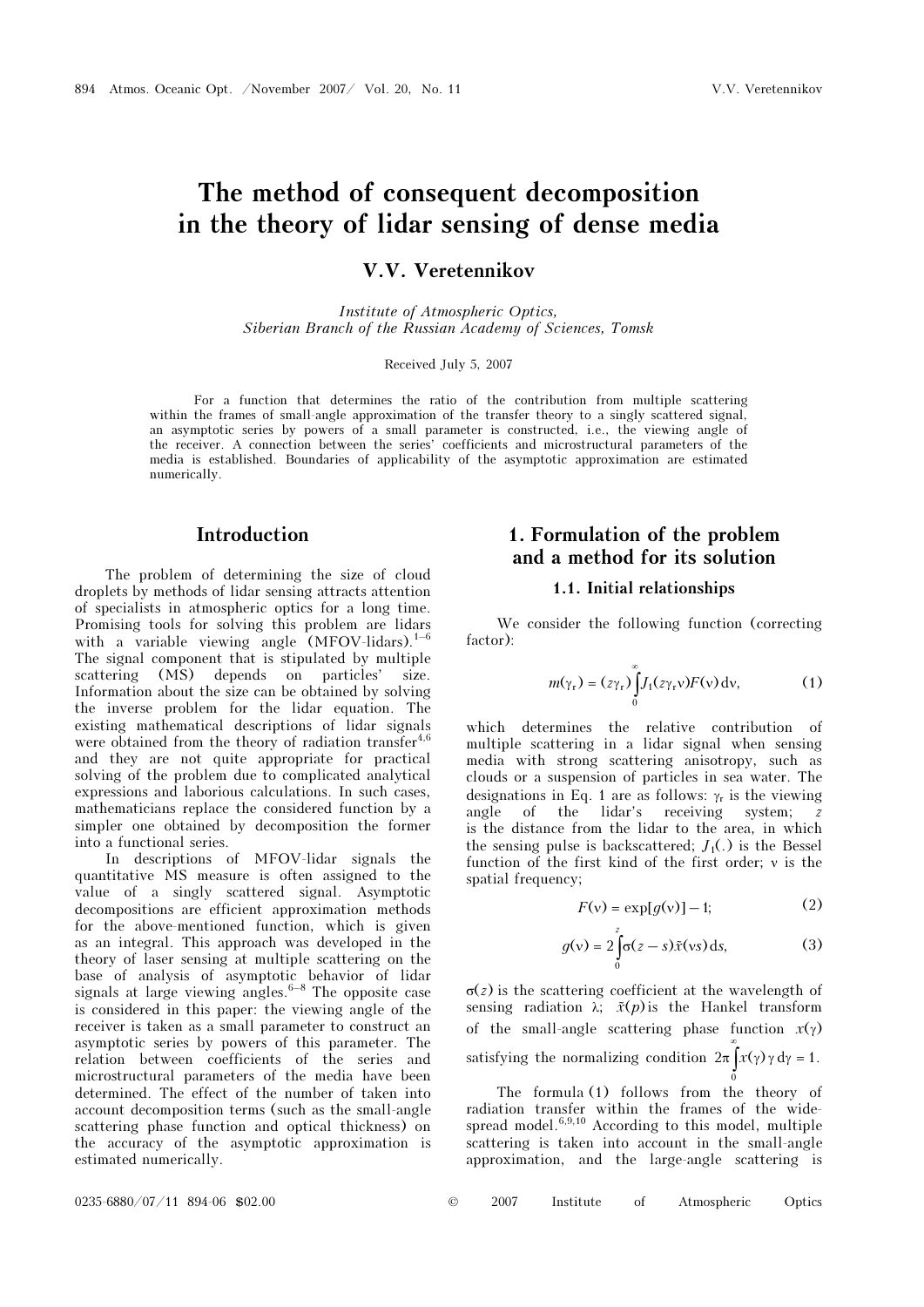# The method of consequent decomposition in the theory of lidar sensing of dense media

V.V. Veretennikov

Institute of Atmospheric Optics, Siberian Branch of the Russian Academy of Sciences, Tomsk

Received July 5, 2007

For a function that determines the ratio of the contribution from multiple scattering within the frames of small-angle approximation of the transfer theory to a singly scattered signal, an asymptotic series by powers of a small parameter is constructed, i.e., the viewing angle of the receiver. A connection between the series' coefficients and microstructural parameters of the media is established. Boundaries of applicability of the asymptotic approximation are estimated numerically.

### Introduction

The problem of determining the size of cloud droplets by methods of lidar sensing attracts attention of specialists in atmospheric optics for a long time. Promising tools for solving this problem are lidars with a variable viewing angle  $(MFOV-lidars).<sup>1–6</sup>$ The signal component that is stipulated by multiple scattering (MS) depends on particles' size. Information about the size can be obtained by solving the inverse problem for the lidar equation. The existing mathematical descriptions of lidar signals were obtained from the theory of radiation transfer<sup>4,6</sup> and they are not quite appropriate for practical solving of the problem due to complicated analytical expressions and laborious calculations. In such cases, mathematicians replace the considered function by a simpler one obtained by decomposition the former into a functional series.

In descriptions of MFOV-lidar signals the quantitative MS measure is often assigned to the value of a singly scattered signal. Asymptotic decompositions are efficient approximation methods for the above-mentioned function, which is given as an integral. This approach was developed in the theory of laser sensing at multiple scattering on the base of analysis of asymptotic behavior of lidar signals at large viewing angles. $6-8$  The opposite case is considered in this paper: the viewing angle of the receiver is taken as a small parameter to construct an asymptotic series by powers of this parameter. The relation between coefficients of the series and microstructural parameters of the media have been determined. The effect of the number of taken into account decomposition terms (such as the small-angle scattering phase function and optical thickness) on the accuracy of the asymptotic approximation is estimated numerically.

# 1. Formulation of the problem and a method for its solution

#### 1.1. Initial relationships

We consider the following function (correcting factor):

$$
m(\gamma_{\rm r}) = (z\gamma_{\rm r})\int_{0}^{\infty} J_1(z\gamma_{\rm r}v)F(v) \,\mathrm{d}v,\tag{1}
$$

which determines the relative contribution of multiple scattering in a lidar signal when sensing media with strong scattering anisotropy, such as clouds or a suspension of particles in sea water. The designations in Eq. 1 are as follows:  $\gamma_r$  is the viewing angle of the lidar's receiving system; z is the distance from the lidar to the area, in which the sensing pulse is backscattered;  $J_1(.)$  is the Bessel function of the first kind of the first order; ν is the spatial frequency;

$$
F(v) = \exp[g(v)] - 1;\t(2)
$$

$$
F(v) = \exp[g(v)] - 1;
$$
 (2)  
 
$$
g(v) = 2 \int_{0}^{z} \sigma(z - s) \tilde{x}(vs) ds,
$$
 (3)

σ(z) is the scattering coefficient at the wavelength of  $g(v) = 2 \int_0^z \sigma(z - s) \tilde{x}(vs) ds,$  (3)<br>  $\sigma(z)$  is the scattering coefficient at the wavelength of<br>
sensing radiation  $\lambda$ ;  $\tilde{x}(p)$  is the Hankel transform of the small-angle scattering phase function  $x(\gamma)$ satisfying the normalizing condition  $2\pi \int x(\gamma) \gamma d\gamma = 1$ .  $\overline{0}$ 

 The formula (1) follows from the theory of radiation transfer within the frames of the widespread model. $6,9,10$  According to this model, multiple scattering is taken into account in the small-angle approximation, and the large-angle scattering is

0235-6880/07/11 894-06 \$02.00 © 2007 Institute of Atmospheric Optics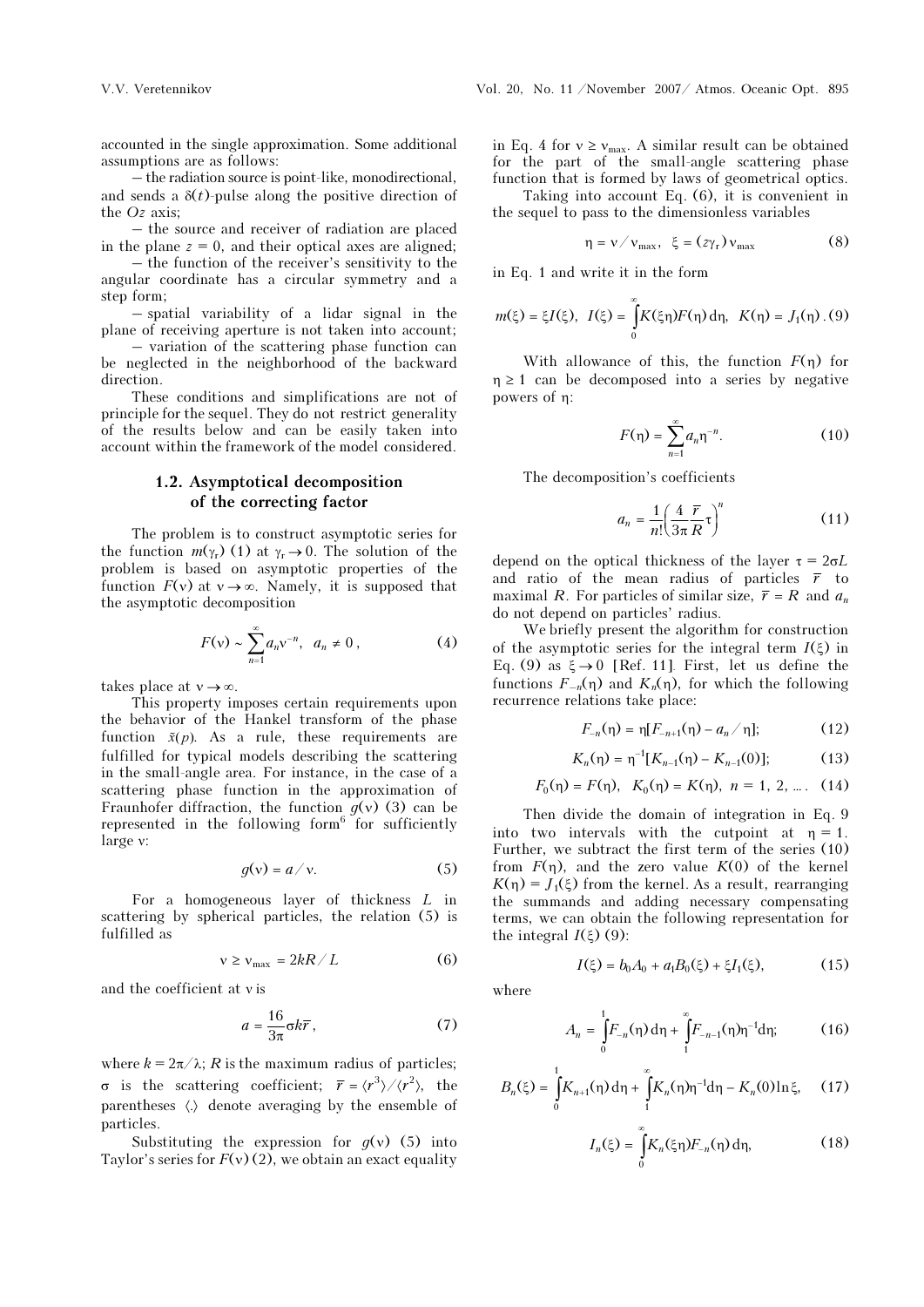accounted in the single approximation. Some additional assumptions are as follows:

– the radiation source is point-like, monodirectional, and sends a  $\delta(t)$ -pulse along the positive direction of the Oz axis;

– the source and receiver of radiation are placed in the plane  $z = 0$ , and their optical axes are aligned;

 – the function of the receiver's sensitivity to the angular coordinate has a circular symmetry and a step form;

– spatial variability of a lidar signal in the plane of receiving aperture is not taken into account;

 – variation of the scattering phase function can be neglected in the neighborhood of the backward direction.

These conditions and simplifications are not of principle for the sequel. They do not restrict generality of the results below and can be easily taken into account within the framework of the model considered.

#### 1.2. Asymptotical decomposition of the correcting factor

The problem is to construct asymptotic series for the function  $m(\gamma_r)$  (1) at  $\gamma_r \rightarrow 0$ . The solution of the problem is based on asymptotic properties of the function  $F(v)$  at  $v \rightarrow \infty$ . Namely, it is supposed that the asymptotic decomposition

$$
F(v) \sim \sum_{n=1}^{\infty} a_n v^{-n}, \ \ a_n \neq 0 \,, \tag{4}
$$

takes place at  $v \rightarrow \infty$ .

This property imposes certain requirements upon the behavior of the Hankel transform of the phase takes place at  $v \rightarrow \infty$ .<br>This property imposes certain requirements upon<br>the behavior of the Hankel transform of the phase<br>function  $\tilde{x}(p)$ . As a rule, these requirements are fulfilled for typical models describing the scattering in the small-angle area. For instance, in the case of a scattering phase function in the approximation of Fraunhofer diffraction, the function  $g(v)$  (3) can be represented in the following form<sup>6</sup> for sufficiently large ν:

$$
g(v) = a/v.
$$
 (5)

For a homogeneous layer of thickness L in scattering by spherical particles, the relation (5) is fulfilled as

$$
v \ge v_{\text{max}} = 2kR/L \tag{6}
$$

and the coefficient at ν is

$$
a = \frac{16}{3\pi} \sigma k \overline{r},\qquad(7)
$$

where  $k = 2\pi/\lambda$ ; R is the maximum radius of particles; σ is the scattering coefficient;  $\bar{r} = \langle r^3 \rangle / \langle r^2 \rangle$ , the parentheses  $\langle \cdot \rangle$  denote averaging by the ensemble of particles.

Substituting the expression for  $g(v)$  (5) into Taylor's series for  $F(v)(2)$ , we obtain an exact equality

in Eq. 4 for  $v \ge v_{\text{max}}$ . A similar result can be obtained for the part of the small-angle scattering phase function that is formed by laws of geometrical optics.

 Taking into account Eq. (6), it is convenient in the sequel to pass to the dimensionless variables

$$
\eta = v / v_{\text{max}}, \xi = (z \gamma_{\text{r}}) v_{\text{max}} \tag{8}
$$

in Eq. 1 and write it in the form

$$
m(\xi) = \xi I(\xi), \ \ I(\xi) = \int_{0}^{\infty} K(\xi \eta) F(\eta) \, d\eta, \ \ K(\eta) = J_1(\eta) \, . \, (9)
$$

With allowance of this, the function  $F(\eta)$  for  $\eta \geq 1$  can be decomposed into a series by negative powers of η:

$$
F(\eta) = \sum_{n=1}^{\infty} a_n \eta^{-n}.
$$
 (10)

The decomposition's coefficients

$$
a_n = \frac{1}{n!} \left(\frac{4}{3\pi} \frac{\overline{r}}{R} \tau\right)^n \tag{11}
$$

depend on the optical thickness of the layer  $\tau = 2\sigma L$ and ratio of the mean radius of particles  $\bar{r}$  to maximal R. For particles of similar size,  $\bar{r} = R$  and  $a_n$ do not depend on particles' radius.

We briefly present the algorithm for construction of the asymptotic series for the integral term  $I(\xi)$  in Eq. (9) as  $\xi \rightarrow 0$  [Ref. 11]. First, let us define the functions  $F_{-n}(\eta)$  and  $K_n(\eta)$ , for which the following recurrence relations take place:

$$
F_{-n}(\eta) = \eta [F_{-n+1}(\eta) - a_n / \eta];
$$
 (12)

relations take place:  
\n
$$
F_{-n}(\eta) = \eta [F_{-n+1}(\eta) - a_n / \eta];
$$
\n(12)  
\n
$$
K_n(\eta) = \eta^{-1} [K_{n-1}(\eta) - K_{n-1}(0)];
$$
\n(13)

$$
F_0(\eta) = F(\eta), \quad K_0(\eta) = K(\eta), \quad n = 1, 2, \dots
$$
 (14)

Then divide the domain of integration in Eq. 9 into two intervals with the cutpoint at  $\eta = 1$ . Further, we subtract the first term of the series (10) from  $F(\eta)$ , and the zero value  $K(0)$  of the kernel  $K(n) = J_1(\xi)$  from the kernel. As a result, rearranging the summands and adding necessary compensating terms, we can obtain the following representation for the integral  $I(\xi)$  (9):

$$
I(\xi) = b_0 A_0 + a_1 B_0(\xi) + \xi I_1(\xi),
$$
 (15)

where

$$
A_n = \int_0^1 F_{-n}(\eta) d\eta + \int_1^\infty F_{-n-1}(\eta) \eta^{-1} d\eta; \tag{16}
$$

$$
B_n(\xi) = \int_0^1 K_{n+1}(\eta) d\eta + \int_1^\infty K_n(\eta) \eta^{-1} d\eta - K_n(0) \ln \xi, \quad (17)
$$

$$
I_n(\xi) = \int_0^\infty K_n(\xi \eta) F_{-n}(\eta) d\eta,
$$
 (18)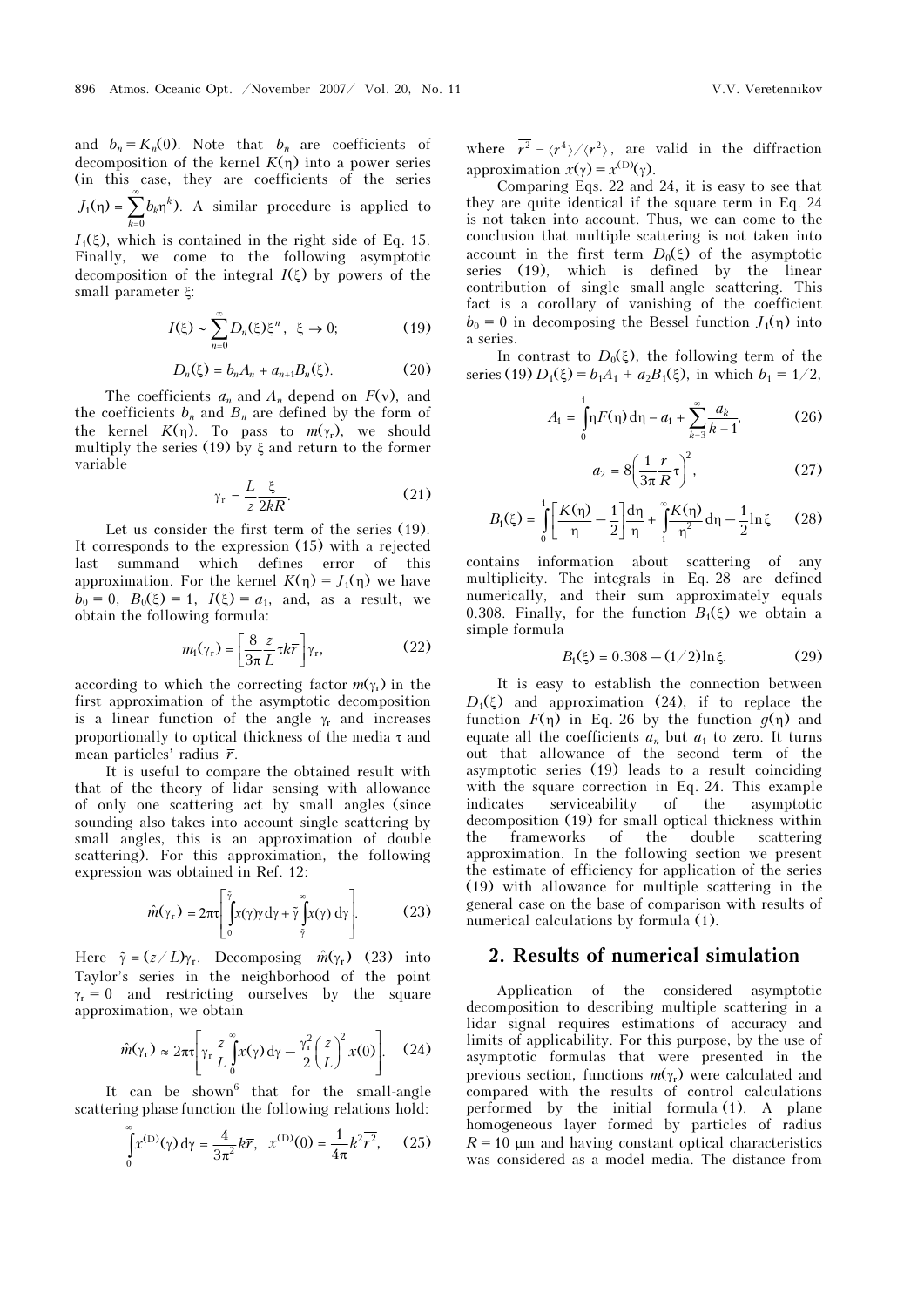and  $b_n = K_n(0)$ . Note that  $b_n$  are coefficients of decomposition of the kernel  $K(\eta)$  into a power series (in this case, they are coefficients of the series ∞1  $\overline{0}$  $(\eta) = \sum b_k \eta^k$ ). k  $J_1(\eta) = \sum b$  $\eta$ ) =  $\sum_{k=0}^{\infty} b_k \eta^k$ ). A similar procedure is applied to

 $I_1(\xi)$ , which is contained in the right side of Eq. 15. Finally, we come to the following asymptotic decomposition of the integral  $I(\xi)$  by powers of the small parameter ξ:

$$
I(\xi) \sim \sum_{n=0}^{\infty} D_n(\xi) \xi^n, \ \xi \to 0; \tag{19}
$$

$$
D_n(\xi) = b_n A_n + a_{n+1} B_n(\xi). \tag{20}
$$

The coefficients  $a_n$  and  $A_n$  depend on  $F(v)$ , and the coefficients  $b_n$  and  $B_n$  are defined by the form of the kernel  $K(\eta)$ . To pass to  $m(\gamma_r)$ , we should multiply the series (19) by ξ and return to the former variable

$$
\gamma_{\rm r} = \frac{L}{z} \frac{\xi}{2kR}.
$$
 (21)

Let us consider the first term of the series (19). It corresponds to the expression (15) with a rejected last summand which defines error of this approximation. For the kernel  $K(\eta) = J_1(\eta)$  we have  $b_0 = 0$ ,  $B_0(\xi) = 1$ ,  $I(\xi) = a_1$ , and, as a result, we obtain the following formula:

$$
m_{\rm I}(\gamma_{\rm r}) = \left[\frac{8}{3\pi} \frac{z}{L} \tau k \overline{r}\right] \gamma_{\rm r},\tag{22}
$$

according to which the correcting factor  $m(\gamma_r)$  in the first approximation of the asymptotic decomposition is a linear function of the angle  $\gamma_r$  and increases proportionally to optical thickness of the media  $\tau$  and mean particles' radius  $\bar{r}$ .

It is useful to compare the obtained result with that of the theory of lidar sensing with allowance of only one scattering act by small angles (since sounding also takes into account single scattering by small angles, this is an approximation of double small angles, this is an approximation of double<br>scattering). For this approximation, the following<br>expression was obtained in Ref. 12:<br> $\hat{m}(\gamma_r) = 2\pi\sqrt{\int_{x}^{\bar{\gamma}} [x(\gamma) d\gamma + \gamma]_{x(\gamma)} d\gamma}$  (23) expression was obtained in Ref. 12:

$$
\hat{m}(\gamma_r) = 2\pi \tau \left[ \int_0^{\bar{\gamma}} x(\gamma) \gamma \, d\gamma + \tilde{\gamma} \int_{\bar{\gamma}}^{\bar{\gamma}} x(\gamma) \, d\gamma \right]. \tag{23}
$$
\nHere  $\tilde{\gamma} = (z/L)\gamma_r$ . Decomposing  $\hat{m}(\gamma_r)$  (23) into

Taylor's series in the neighborhood of the point  $\gamma_r = 0$  and restricting ourselves by the square approximation, we obtain

$$
\hat{m}(\gamma_r) \approx 2\pi\tau \left[ \gamma_r \frac{z}{L} \int_0^\infty x(\gamma) d\gamma - \frac{\gamma_r^2}{2} \left( \frac{z}{L} \right)^2 x(0) \right]. \quad (24)
$$

It can be shown<sup>6</sup> that for the small-angle scattering phase function the following relations hold:

$$
\int_{0}^{\infty} x^{(\text{D})}(\gamma) d\gamma = \frac{4}{3\pi^2} k\bar{r}, \quad x^{(\text{D})}(0) = \frac{1}{4\pi} k^2 \bar{r}^2, \quad (25)
$$

where  $\overline{r^2} = \langle r^4 \rangle / \langle r^2 \rangle$ , are valid in the diffraction approximation  $x(y) = x^{(D)}(y)$ .

Comparing Eqs. 22 and 24, it is easy to see that they are quite identical if the square term in Eq. 24 is not taken into account. Thus, we can come to the conclusion that multiple scattering is not taken into account in the first term  $D_0(\xi)$  of the asymptotic series (19), which is defined by the linear contribution of single small-angle scattering. This fact is a corollary of vanishing of the coefficient  $b_0 = 0$  in decomposing the Bessel function  $J_1(\eta)$  into a series.

In contrast to  $D_0(\xi)$ , the following term of the series (19)  $D_1(\xi) = b_1A_1 + a_2B_1(\xi)$ , in which  $b_1 = 1/2$ ,

$$
A_1 = \int_0^1 \eta F(\eta) d\eta - a_1 + \sum_{k=3}^\infty \frac{a_k}{k-1},
$$
 (26)

$$
a_2 = 8\left(\frac{1}{3\pi}\frac{\bar{r}}{R}\tau\right)^2,\tag{27}
$$

$$
B_{1}(\xi) = \int_{0}^{1} \left[ \frac{K(\eta)}{\eta} - \frac{1}{2} \right] \frac{d\eta}{\eta} + \int_{1}^{\infty} \frac{K(\eta)}{\eta^{2}} d\eta - \frac{1}{2} \ln \xi \qquad (28)
$$

contains information about scattering of any multiplicity. The integrals in Eq. 28 are defined numerically, and their sum approximately equals 0.308. Finally, for the function  $B_1(\xi)$  we obtain a simple formula

$$
B_1(\xi) = 0.308 - (1/2)\ln\xi.
$$
 (29)

It is easy to establish the connection between  $D_1(\xi)$  and approximation (24), if to replace the function  $F(\eta)$  in Eq. 26 by the function  $g(\eta)$  and equate all the coefficients  $a_n$  but  $a_1$  to zero. It turns out that allowance of the second term of the asymptotic series (19) leads to a result coinciding with the square correction in Eq. 24. This example indicates serviceability of the asymptotic decomposition (19) for small optical thickness within the frameworks of the double scattering approximation. In the following section we present the estimate of efficiency for application of the series (19) with allowance for multiple scattering in the general case on the base of comparison with results of numerical calculations by formula (1).

## 2. Results of numerical simulation

Application of the considered asymptotic decomposition to describing multiple scattering in a lidar signal requires estimations of accuracy and limits of applicability. For this purpose, by the use of asymptotic formulas that were presented in the previous section, functions  $m(\gamma_r)$  were calculated and compared with the results of control calculations performed by the initial formula (1). A plane homogeneous layer formed by particles of radius  $R = 10 \mu m$  and having constant optical characteristics was considered as a model media. The distance from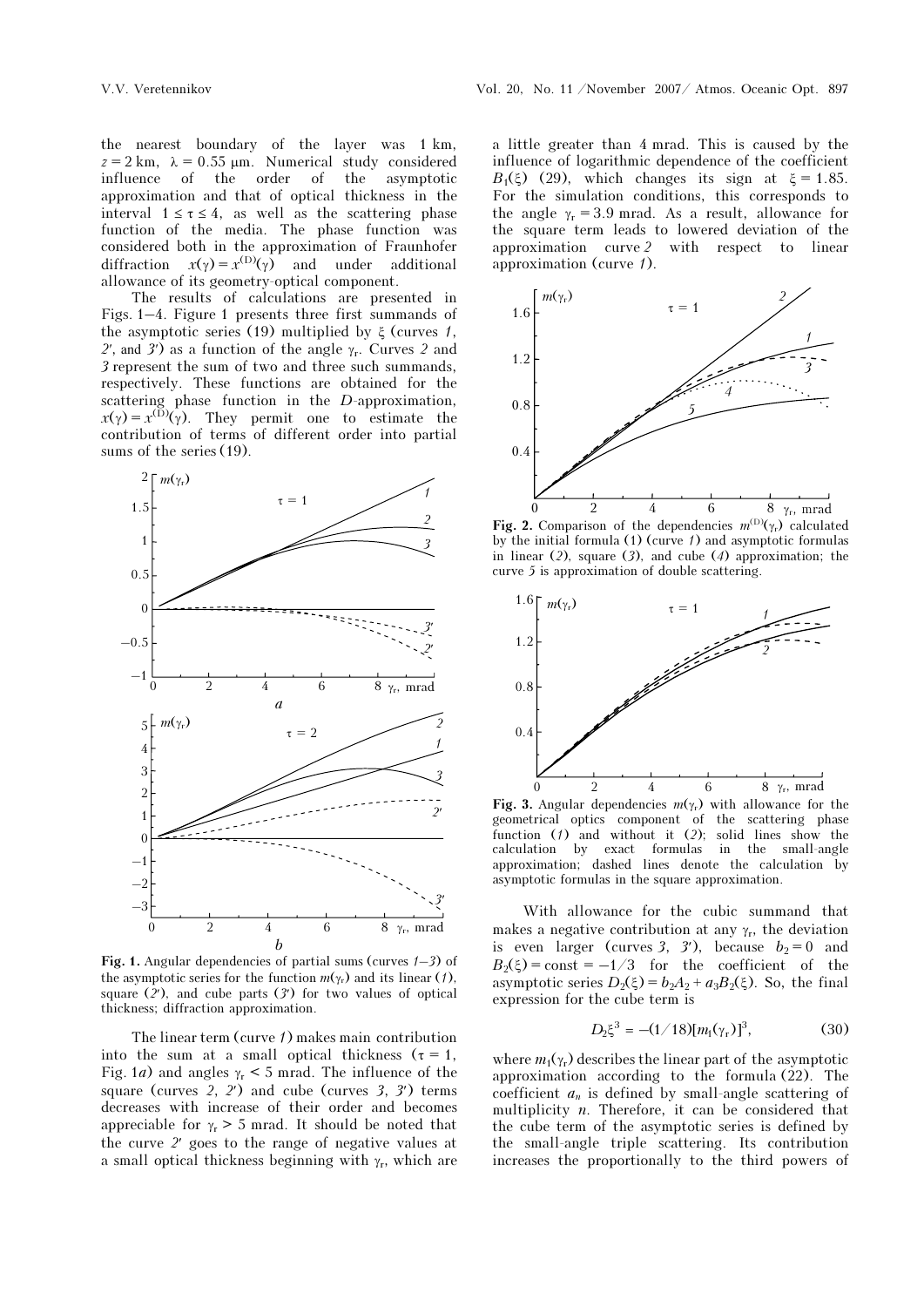the nearest boundary of the layer was 1 km,  $z = 2$  km,  $\lambda = 0.55$  μm. Numerical study considered<br>influence of the order of the asymptotic influence of the order of the approximation and that of optical thickness in the interval  $1 \leq \tau \leq 4$ , as well as the scattering phase function of the media. The phase function was considered both in the approximation of Fraunhofer diffraction  $x(\gamma) = x^{(D)}(\gamma)$  and under additional allowance of its geometry-optical component.

The results of calculations are presented in Figs. 1–4. Figure 1 presents three first summands of the asymptotic series (19) multiplied by  $\xi$  (curves 1, 2', and 3') as a function of the angle  $\gamma_r$ . Curves 2 and 3 represent the sum of two and three such summands, respectively. These functions are obtained for the scattering phase function in the D-approximation,<br> $r(x) = r^{(D)}(x)$ . They permit and to estimate the  $x(y) = x^{(D)}(y)$ . They permit one to estimate the contribution of terms of different order into partial contribution of terms of different order into partial sums of the series (19).



Fig. 1. Angular dependencies of partial sums (curves  $(-3)$ ) of the example of the function  $m(x)$  and its linear  $(1)$ the asymptotic series for the function  $m(\gamma_r)$  and its linear (1), square  $(2')$ , and cube parts  $(3')$  for two values of optical thickness; diffraction approximation.

The linear term (curve 1) makes main contribution into the sum at a small optical thickness ( $\tau = 1$ , Fig. 1a) and angles  $\gamma_r < 5$  mrad. The influence of the square (curves  $2$ ,  $2'$ ) and cube (curves  $3$ ,  $3'$ ) terms decreases with increase of their order and becomes appreciable for  $\gamma_r > 5$  mrad. It should be noted that the curve 2′ goes to the range of negative values at a small optical thickness beginning with  $\gamma_r$ , which are a little greater than 4 mrad. This is caused by the influence of logarithmic dependence of the coefficient  $B_1(\xi)$  (29), which changes its sign at  $\xi = 1.85$ . For the simulation conditions, this corresponds to the angle  $\gamma_r = 3.9$  mrad. As a result, allowance for the square term leads to lowered deviation of the approximation curve 2 with respect to linear approximation (curve 1).



Fig. 2. Comparison of the dependencies  $m^{(D)}(\gamma_r)$  calculated by the initial formula  $(1)$  (curve  $1$ ) and asymptotic formulas in linear  $(2)$ , square  $(3)$ , and cube  $(4)$  approximation; the curve 5 is approximation of double scattering.



Fig. 3. Angular dependencies  $m(\gamma_r)$  with allowance for the geometrical optics component of the scattering phase function  $(1)$  and without it  $(2)$ ; solid lines show the calculation by exact formulas in the small-angle approximation; dashed lines denote the calculation by asymptotic formulas in the square approximation.

With allowance for the cubic summand that makes a negative contribution at any  $\gamma_r$ , the deviation is even larger (curves 3, 3'), because  $b_2 = 0$  and  $B_2(\xi) = \text{const} = -1/3$  for the coefficient of the asymptotic series  $D_2(\xi) = b_2A_2 + a_3B_2(\xi)$ . So, the final expression for the cube term is

$$
D_2 \xi^3 = -(1/18)[m_1(\gamma_r)]^3, \tag{30}
$$

where  $m_1(\gamma_r)$  describes the linear part of the asymptotic approximation according to the formula (22). The coefficient  $a_n$  is defined by small-angle scattering of multiplicity  $n$ . Therefore, it can be considered that the cube term of the asymptotic series is defined by the small-angle triple scattering. Its contribution increases the proportionally to the third powers of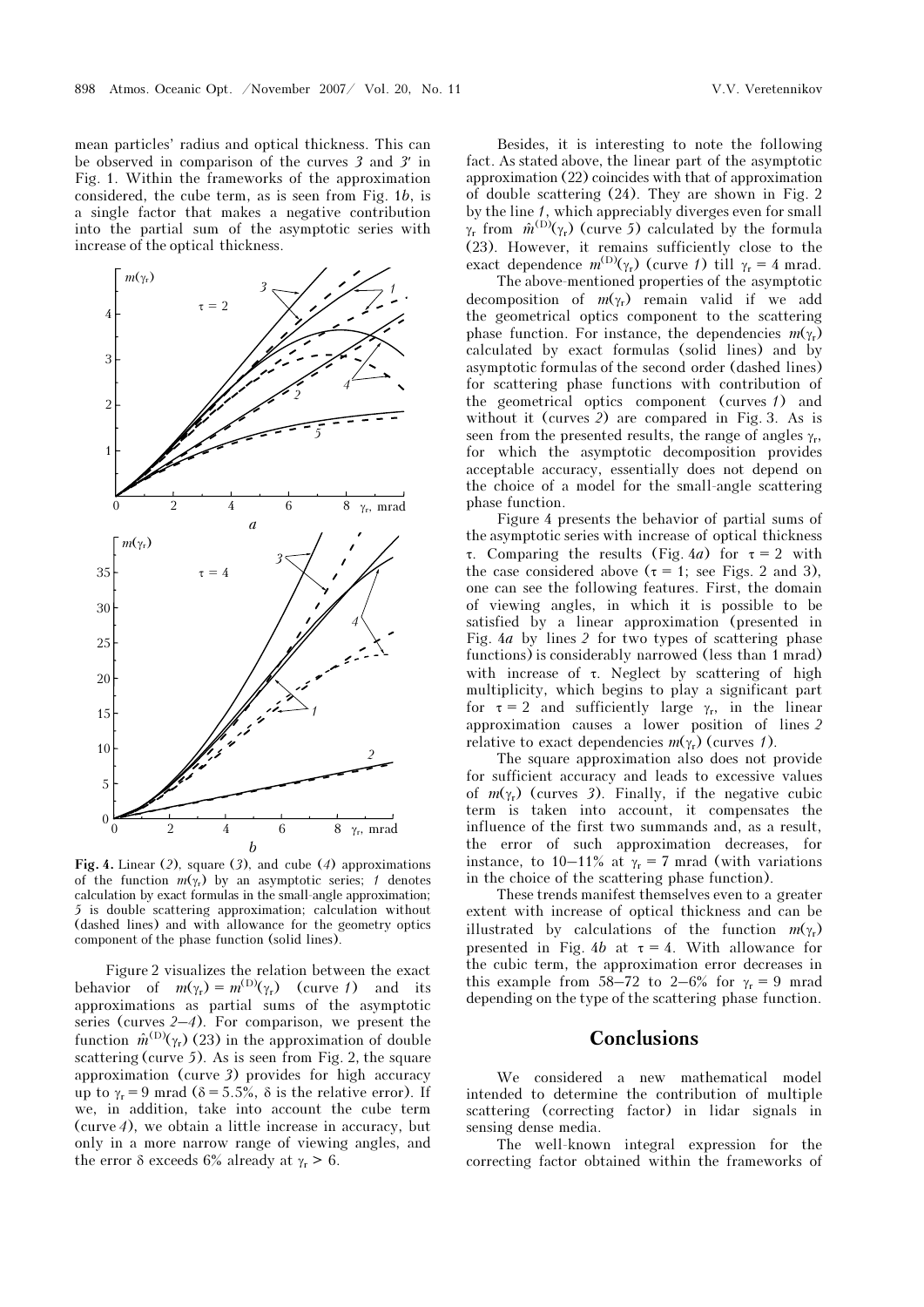mean particles' radius and optical thickness. This can be observed in comparison of the curves 3 and 3′ in Fig. 1. Within the frameworks of the approximation considered, the cube term, as is seen from Fig. 1b, is a single factor that makes a negative contribution into the partial sum of the asymptotic series with increase of the optical thickness.



Fig. 4. Linear (2), square (3), and cube (4) approximations<br>of the function  $m(x)$  by an example is cries: 4 denotes of the function  $m(\gamma_r)$  by an asymptotic series; 1 denotes calculation by exact formulas in the small-angle approximation; 5 is double scattering approximation; calculation without (dashed lines) and with allowance for the geometry optics component of the phase function (solid lines).

Figure 2 visualizes the relation between the exact behavior of  $m(\gamma_r) = m^{(D)}(\gamma_r)$  (curve 1) and its approximations as partial sums of the asymptotic series (curves 2–4). For comparison, we present the function  $\hat{m}^{(D)}(\gamma_r)$  (23) in the approximation of double scattering (curve 5). As is seen from Fig. 2, the square approximation (curve 3) provides for high accuracy up to  $\gamma_r = 9$  mrad ( $\delta = 5.5\%$ ,  $\delta$  is the relative error). If we, in addition, take into account the cube term (curve 4), we obtain a little increase in accuracy, but only in a more narrow range of viewing angles, and the error δ exceeds 6% already at  $γ<sub>r</sub> > 6$ .

Besides, it is interesting to note the following fact. As stated above, the linear part of the asymptotic approximation (22) coincides with that of approximation of double scattering (24). They are shown in Fig. 2 by the line <sup>1</sup>, which appreciably diverges even for small γ<sub>r</sub> from  $\hat{m}^{(D)}(\gamma_r)$  (curve 5) calculated by the formula (23). However, it remains sufficiently close to the exact dependence  $m^{(D)}(\gamma_r)$  (curve 1) till  $\gamma_r = 4$  mrad.

 The above-mentioned properties of the asymptotic decomposition of  $m(\gamma_r)$  remain valid if we add the geometrical optics component to the scattering phase function. For instance, the dependencies  $m(\gamma_r)$ calculated by exact formulas (solid lines) and by asymptotic formulas of the second order (dashed lines) for scattering phase functions with contribution of the geometrical optics component (curves 1) and without it (curves 2) are compared in Fig. 3. As is seen from the presented results, the range of angles  $\gamma_r$ , for which the asymptotic decomposition provides acceptable accuracy, essentially does not depend on the choice of a model for the small-angle scattering phase function.

Figure 4 presents the behavior of partial sums of the asymptotic series with increase of optical thickness <sup>τ</sup>. Comparing the results (Fig. <sup>4</sup>a) for τ = 2 with the case considered above ( $\tau = 1$ ; see Figs. 2 and 3), one can see the following features. First, the domain of viewing angles, in which it is possible to be satisfied by a linear approximation (presented in Fig. 4a by lines 2 for two types of scattering phase functions) is considerably narrowed (less than 1 mrad) with increase of τ. Neglect by scattering of high multiplicity, which begins to play a significant part for  $\tau = 2$  and sufficiently large  $\gamma_r$ , in the linear approximation causes a lower position of lines 2 relative to exact dependencies  $m(\gamma_r)$  (curves 1).

The square approximation also does not provide for sufficient accuracy and leads to excessive values of  $m(\gamma_r)$  (curves 3). Finally, if the negative cubic term is taken into account, it compensates the influence of the first two summands and, as a result, the error of such approximation decreases, for instance, to 10–11% at  $\gamma_r = 7$  mrad (with variations in the choice of the scattering phase function).

These trends manifest themselves even to a greater extent with increase of optical thickness and can be illustrated by calculations of the function  $m(\gamma_r)$ presented in Fig. 4b at  $\tau = 4$ . With allowance for the cubic term, the approximation error decreases in this example from 58–72 to 2–6% for  $\gamma_r = 9$  mrad depending on the type of the scattering phase function.

#### Conclusions

We considered a new mathematical model intended to determine the contribution of multiple scattering (correcting factor) in lidar signals in sensing dense media.

The well-known integral expression for the correcting factor obtained within the frameworks of